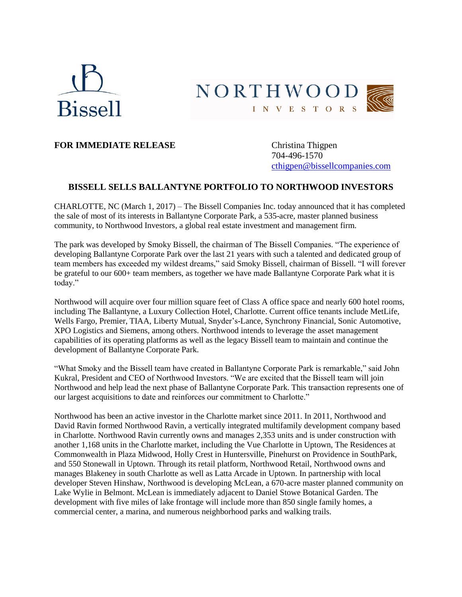



## **FOR IMMEDIATE RELEASE** Christina Thigpen

704-496-1570 [cthigpen@bissellcompanies.com](mailto:cthigpen@bissellcompanies.com)

## **BISSELL SELLS BALLANTYNE PORTFOLIO TO NORTHWOOD INVESTORS**

CHARLOTTE, NC (March 1, 2017) – The Bissell Companies Inc. today announced that it has completed the sale of most of its interests in Ballantyne Corporate Park, a 535-acre, master planned business community, to Northwood Investors, a global real estate investment and management firm.

The park was developed by Smoky Bissell, the chairman of The Bissell Companies. "The experience of developing Ballantyne Corporate Park over the last 21 years with such a talented and dedicated group of team members has exceeded my wildest dreams," said Smoky Bissell, chairman of Bissell. "I will forever be grateful to our 600+ team members, as together we have made Ballantyne Corporate Park what it is today."

Northwood will acquire over four million square feet of Class A office space and nearly 600 hotel rooms, including The Ballantyne, a Luxury Collection Hotel, Charlotte. Current office tenants include MetLife, Wells Fargo, Premier, TIAA, Liberty Mutual, Snyder's-Lance, Synchrony Financial, Sonic Automotive, XPO Logistics and Siemens, among others. Northwood intends to leverage the asset management capabilities of its operating platforms as well as the legacy Bissell team to maintain and continue the development of Ballantyne Corporate Park.

"What Smoky and the Bissell team have created in Ballantyne Corporate Park is remarkable," said John Kukral, President and CEO of Northwood Investors. "We are excited that the Bissell team will join Northwood and help lead the next phase of Ballantyne Corporate Park. This transaction represents one of our largest acquisitions to date and reinforces our commitment to Charlotte."

Northwood has been an active investor in the Charlotte market since 2011. In 2011, Northwood and David Ravin formed Northwood Ravin, a vertically integrated multifamily development company based in Charlotte. Northwood Ravin currently owns and manages 2,353 units and is under construction with another 1,168 units in the Charlotte market, including the Vue Charlotte in Uptown, The Residences at Commonwealth in Plaza Midwood, Holly Crest in Huntersville, Pinehurst on Providence in SouthPark, and 550 Stonewall in Uptown. Through its retail platform, Northwood Retail, Northwood owns and manages Blakeney in south Charlotte as well as Latta Arcade in Uptown. In partnership with local developer Steven Hinshaw, Northwood is developing McLean, a 670-acre master planned community on Lake Wylie in Belmont. McLean is immediately adjacent to Daniel Stowe Botanical Garden. The development with five miles of lake frontage will include more than 850 single family homes, a commercial center, a marina, and numerous neighborhood parks and walking trails.